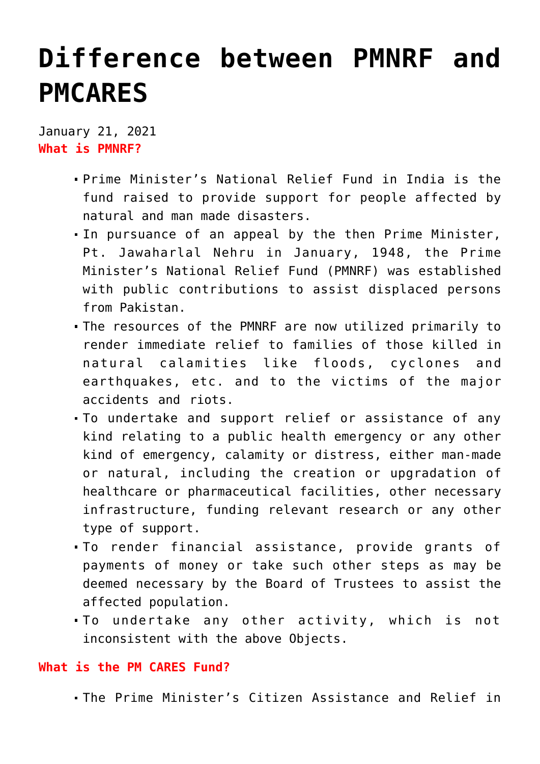## **[Difference between PMNRF and](https://journalsofindia.com/difference-between-pmnrf-and-pmcares/) [PMCARES](https://journalsofindia.com/difference-between-pmnrf-and-pmcares/)**

January 21, 2021 **What is PMNRF?**

- Prime Minister's National Relief Fund in India is the fund raised to provide support for people affected by natural and man made disasters.
- In pursuance of an appeal by the then Prime Minister, Pt. Jawaharlal Nehru in January, 1948, the Prime Minister's National Relief Fund (PMNRF) was established with public contributions to assist displaced persons from Pakistan.
- The resources of the PMNRF are now utilized primarily to render immediate relief to families of those killed in natural calamities like floods, cyclones and earthquakes, etc. and to the victims of the major accidents and riots.
- To undertake and support relief or assistance of any kind relating to a public health emergency or any other kind of emergency, calamity or distress, either man-made or natural, including the creation or upgradation of healthcare or pharmaceutical facilities, other necessary infrastructure, funding relevant research or any other type of support.
- To render financial assistance, provide grants of payments of money or take such other steps as may be deemed necessary by the Board of Trustees to assist the affected population.
- To undertake any other activity, which is not inconsistent with the above Objects.

## **What is the PM CARES Fund?**

The Prime Minister's Citizen Assistance and Relief in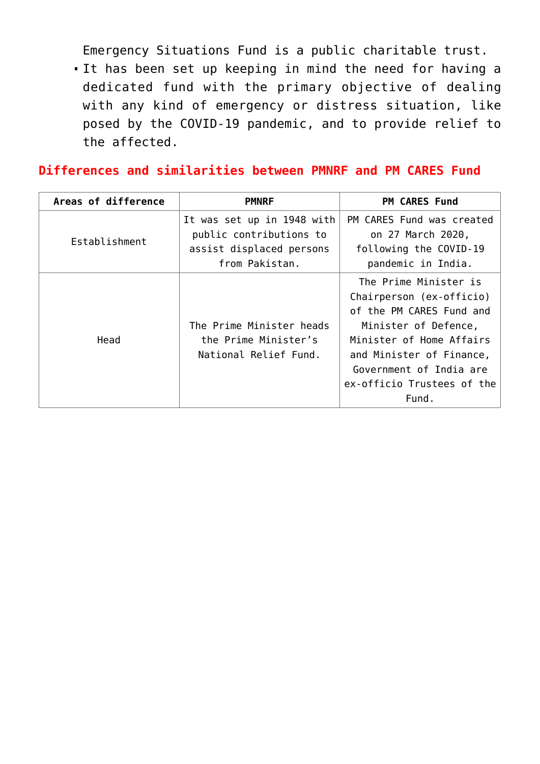Emergency Situations Fund is a public charitable trust.

It has been set up keeping in mind the need for having a dedicated fund with the primary objective of dealing with any kind of emergency or distress situation, like posed by the COVID-19 pandemic, and to provide relief to the affected.

**Differences and similarities between PMNRF and PM CARES Fund**

| Areas of difference | <b>PMNRF</b>                                                                                        | <b>PM CARES Fund</b>                                                                                                                                                                                                            |
|---------------------|-----------------------------------------------------------------------------------------------------|---------------------------------------------------------------------------------------------------------------------------------------------------------------------------------------------------------------------------------|
| Establishment       | It was set up in 1948 with<br>public contributions to<br>assist displaced persons<br>from Pakistan. | PM CARES Fund was created<br>on 27 March 2020,<br>following the COVID-19<br>pandemic in India.                                                                                                                                  |
| Head                | The Prime Minister heads<br>the Prime Minister's<br>National Relief Fund.                           | The Prime Minister is<br>Chairperson (ex-officio)<br>of the PM CARES Fund and<br>Minister of Defence,<br>Minister of Home Affairs<br>and Minister of Finance,<br>Government of India are<br>ex-officio Trustees of the<br>Fund. |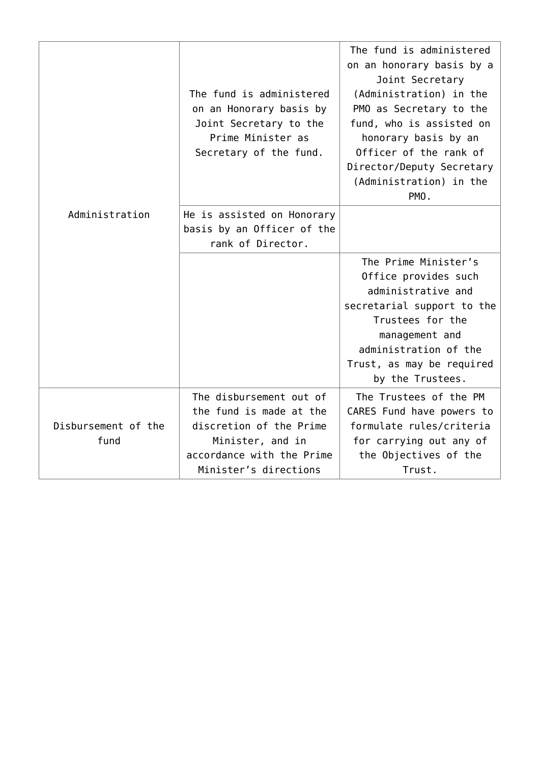| Administration              | The fund is administered<br>on an Honorary basis by<br>Joint Secretary to the<br>Prime Minister as<br>Secretary of the fund.                            | The fund is administered<br>on an honorary basis by a<br>Joint Secretary<br>(Administration) in the<br>PMO as Secretary to the<br>fund, who is assisted on<br>honorary basis by an<br>Officer of the rank of<br>Director/Deputy Secretary<br>(Administration) in the<br>PMO. |
|-----------------------------|---------------------------------------------------------------------------------------------------------------------------------------------------------|------------------------------------------------------------------------------------------------------------------------------------------------------------------------------------------------------------------------------------------------------------------------------|
|                             | He is assisted on Honorary<br>basis by an Officer of the<br>rank of Director.                                                                           |                                                                                                                                                                                                                                                                              |
|                             |                                                                                                                                                         | The Prime Minister's<br>Office provides such<br>administrative and<br>secretarial support to the<br>Trustees for the<br>management and<br>administration of the<br>Trust, as may be required<br>by the Trustees.                                                             |
| Disbursement of the<br>fund | The disbursement out of<br>the fund is made at the<br>discretion of the Prime<br>Minister, and in<br>accordance with the Prime<br>Minister's directions | The Trustees of the PM<br>CARES Fund have powers to<br>formulate rules/criteria<br>for carrying out any of<br>the Objectives of the<br>Trust.                                                                                                                                |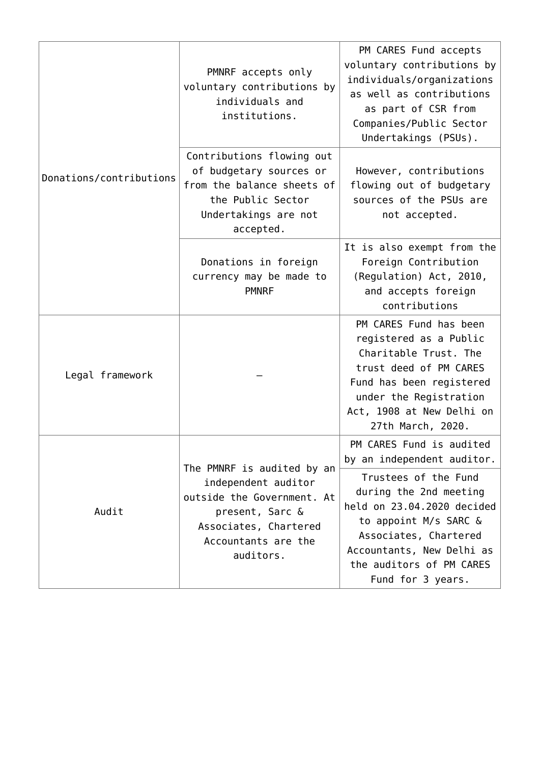| Donations/contributions | PMNRF accepts only<br>voluntary contributions by<br>individuals and<br>institutions.                                                                            | PM CARES Fund accepts<br>voluntary contributions by<br>individuals/organizations<br>as well as contributions<br>as part of CSR from<br>Companies/Public Sector<br>Undertakings (PSUs).                       |
|-------------------------|-----------------------------------------------------------------------------------------------------------------------------------------------------------------|--------------------------------------------------------------------------------------------------------------------------------------------------------------------------------------------------------------|
|                         | Contributions flowing out<br>of budgetary sources or<br>from the balance sheets of<br>the Public Sector<br>Undertakings are not<br>accepted.                    | However, contributions<br>flowing out of budgetary<br>sources of the PSUs are<br>not accepted.                                                                                                               |
|                         | Donations in foreign<br>currency may be made to<br><b>PMNRF</b>                                                                                                 | It is also exempt from the<br>Foreign Contribution<br>(Regulation) Act, 2010,<br>and accepts foreign<br>contributions                                                                                        |
| Legal framework         |                                                                                                                                                                 | PM CARES Fund has been<br>registered as a Public<br>Charitable Trust. The<br>trust deed of PM CARES<br>Fund has been registered<br>under the Registration<br>Act, 1908 at New Delhi on<br>27th March, 2020.  |
| Audit                   | The PMNRF is audited by an<br>independent auditor<br>outside the Government. At<br>present, Sarc &<br>Associates, Chartered<br>Accountants are the<br>auditors. | PM CARES Fund is audited<br>by an independent auditor.                                                                                                                                                       |
|                         |                                                                                                                                                                 | Trustees of the Fund<br>during the 2nd meeting<br>held on 23.04.2020 decided<br>to appoint M/s SARC &<br>Associates, Chartered<br>Accountants, New Delhi as<br>the auditors of PM CARES<br>Fund for 3 years. |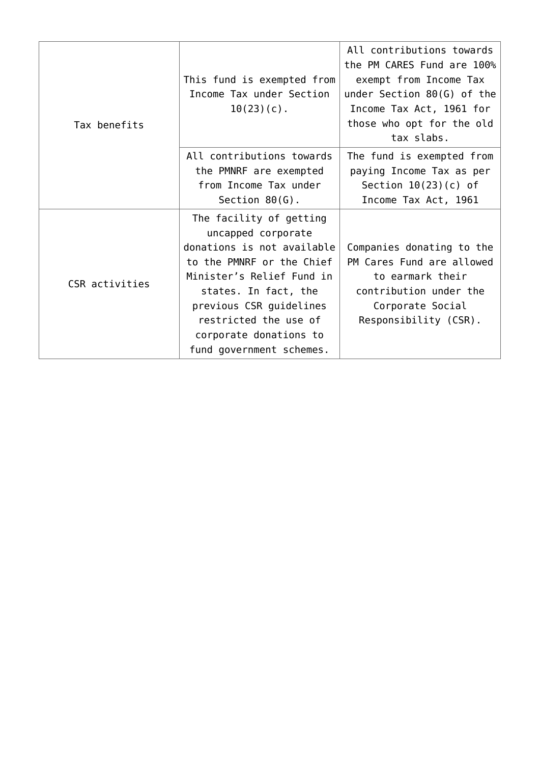| Tax benefits   | This fund is exempted from<br>Income Tax under Section<br>$10(23)(c)$ .                                                                                                                                                                                                 | All contributions towards<br>the PM CARES Fund are 100%<br>exempt from Income Tax<br>under Section $80(G)$ of the<br>Income Tax Act, 1961 for<br>those who opt for the old<br>tax slabs. |
|----------------|-------------------------------------------------------------------------------------------------------------------------------------------------------------------------------------------------------------------------------------------------------------------------|------------------------------------------------------------------------------------------------------------------------------------------------------------------------------------------|
|                | All contributions towards<br>the PMNRF are exempted<br>from Income Tax under<br>Section $80(G)$ .                                                                                                                                                                       | The fund is exempted from<br>paying Income Tax as per<br>Section $10(23)(c)$ of<br>Income Tax Act, 1961                                                                                  |
| CSR activities | The facility of getting<br>uncapped corporate<br>donations is not available<br>to the PMNRF or the Chief<br>Minister's Relief Fund in<br>states. In fact, the<br>previous CSR guidelines<br>restricted the use of<br>corporate donations to<br>fund government schemes. | Companies donating to the<br>PM Cares Fund are allowed<br>to earmark their<br>contribution under the<br>Corporate Social<br>Responsibility (CSR).                                        |